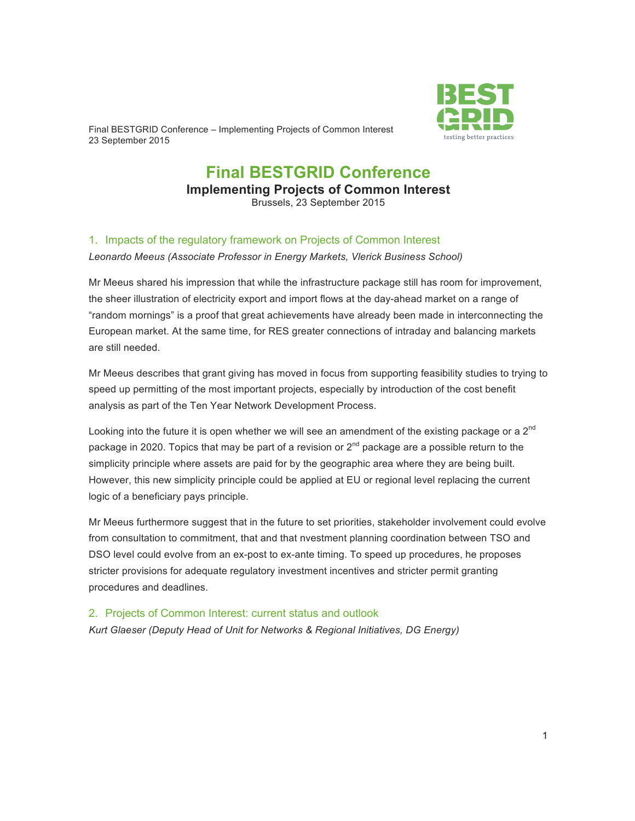Final BESTGRID Conference – Implementing Projects of Common Interest 23 September 2015



# **Final BESTGRID Conference Implementing Projects of Common Interest** Brussels, 23 September 2015

### 1. Impacts of the regulatory framework on Projects of Common Interest

*Leonardo Meeus (Associate Professor in Energy Markets, Vlerick Business School)*

Mr Meeus shared his impression that while the infrastructure package still has room for improvement, the sheer illustration of electricity export and import flows at the day-ahead market on a range of "random mornings" is a proof that great achievements have already been made in interconnecting the European market. At the same time, for RES greater connections of intraday and balancing markets are still needed.

Mr Meeus describes that grant giving has moved in focus from supporting feasibility studies to trying to speed up permitting of the most important projects, especially by introduction of the cost benefit analysis as part of the Ten Year Network Development Process.

Looking into the future it is open whether we will see an amendment of the existing package or a  $2^{nd}$ package in 2020. Topics that may be part of a revision or  $2^{nd}$  package are a possible return to the simplicity principle where assets are paid for by the geographic area where they are being built. However, this new simplicity principle could be applied at EU or regional level replacing the current logic of a beneficiary pays principle.

Mr Meeus furthermore suggest that in the future to set priorities, stakeholder involvement could evolve from consultation to commitment, that and that nvestment planning coordination between TSO and DSO level could evolve from an ex-post to ex-ante timing. To speed up procedures, he proposes stricter provisions for adequate regulatory investment incentives and stricter permit granting procedures and deadlines.

2. Projects of Common Interest: current status and outlook *Kurt Glaeser (Deputy Head of Unit for Networks & Regional Initiatives, DG Energy)*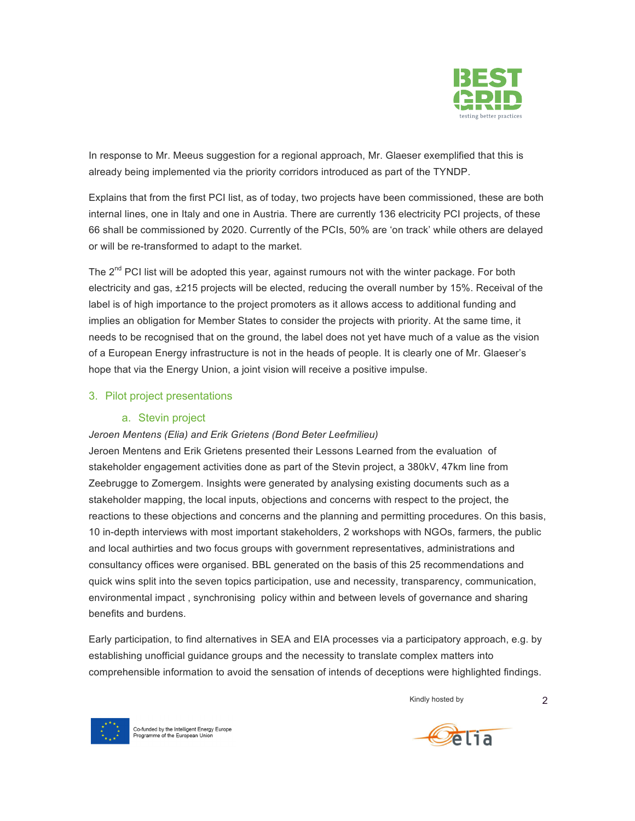

In response to Mr. Meeus suggestion for a regional approach, Mr. Glaeser exemplified that this is already being implemented via the priority corridors introduced as part of the TYNDP.

Explains that from the first PCI list, as of today, two projects have been commissioned, these are both internal lines, one in Italy and one in Austria. There are currently 136 electricity PCI projects, of these 66 shall be commissioned by 2020. Currently of the PCIs, 50% are 'on track' while others are delayed or will be re-transformed to adapt to the market.

The 2<sup>nd</sup> PCI list will be adopted this year, against rumours not with the winter package. For both electricity and gas, ±215 projects will be elected, reducing the overall number by 15%. Receival of the label is of high importance to the project promoters as it allows access to additional funding and implies an obligation for Member States to consider the projects with priority. At the same time, it needs to be recognised that on the ground, the label does not yet have much of a value as the vision of a European Energy infrastructure is not in the heads of people. It is clearly one of Mr. Glaeser's hope that via the Energy Union, a joint vision will receive a positive impulse.

### 3. Pilot project presentations

### a. Stevin project

### *Jeroen Mentens (Elia) and Erik Grietens (Bond Beter Leefmilieu)*

Jeroen Mentens and Erik Grietens presented their Lessons Learned from the evaluation of stakeholder engagement activities done as part of the Stevin project, a 380kV, 47km line from Zeebrugge to Zomergem. Insights were generated by analysing existing documents such as a stakeholder mapping, the local inputs, objections and concerns with respect to the project, the reactions to these objections and concerns and the planning and permitting procedures. On this basis, 10 in-depth interviews with most important stakeholders, 2 workshops with NGOs, farmers, the public and local authirties and two focus groups with government representatives, administrations and consultancy offices were organised. BBL generated on the basis of this 25 recommendations and quick wins split into the seven topics participation, use and necessity, transparency, communication, environmental impact , synchronising policy within and between levels of governance and sharing benefits and burdens.

Early participation, to find alternatives in SEA and EIA processes via a participatory approach, e.g. by establishing unofficial guidance groups and the necessity to translate complex matters into comprehensible information to avoid the sensation of intends of deceptions were highlighted findings.

Kindly hosted by 2



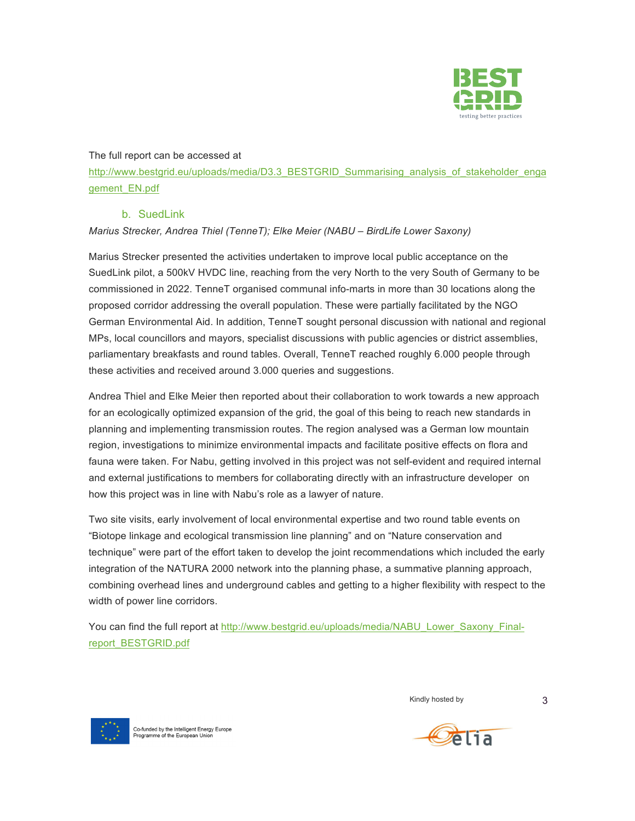

#### The full report can be accessed at

http://www.bestgrid.eu/uploads/media/D3.3\_BESTGRID\_Summarising\_analysis\_of\_stakeholder\_enga gement\_EN.pdf

### b. SuedLink

### *Marius Strecker, Andrea Thiel (TenneT); Elke Meier (NABU – BirdLife Lower Saxony)*

Marius Strecker presented the activities undertaken to improve local public acceptance on the SuedLink pilot, a 500kV HVDC line, reaching from the very North to the very South of Germany to be commissioned in 2022. TenneT organised communal info-marts in more than 30 locations along the proposed corridor addressing the overall population. These were partially facilitated by the NGO German Environmental Aid. In addition, TenneT sought personal discussion with national and regional MPs, local councillors and mayors, specialist discussions with public agencies or district assemblies, parliamentary breakfasts and round tables. Overall, TenneT reached roughly 6.000 people through these activities and received around 3.000 queries and suggestions.

Andrea Thiel and Elke Meier then reported about their collaboration to work towards a new approach for an ecologically optimized expansion of the grid, the goal of this being to reach new standards in planning and implementing transmission routes. The region analysed was a German low mountain region, investigations to minimize environmental impacts and facilitate positive effects on flora and fauna were taken. For Nabu, getting involved in this project was not self-evident and required internal and external justifications to members for collaborating directly with an infrastructure developer on how this project was in line with Nabu's role as a lawyer of nature.

Two site visits, early involvement of local environmental expertise and two round table events on "Biotope linkage and ecological transmission line planning" and on "Nature conservation and technique" were part of the effort taken to develop the joint recommendations which included the early integration of the NATURA 2000 network into the planning phase, a summative planning approach, combining overhead lines and underground cables and getting to a higher flexibility with respect to the width of power line corridors.

You can find the full report at http://www.bestgrid.eu/uploads/media/NABU\_Lower\_Saxony\_Finalreport\_BESTGRID.pdf



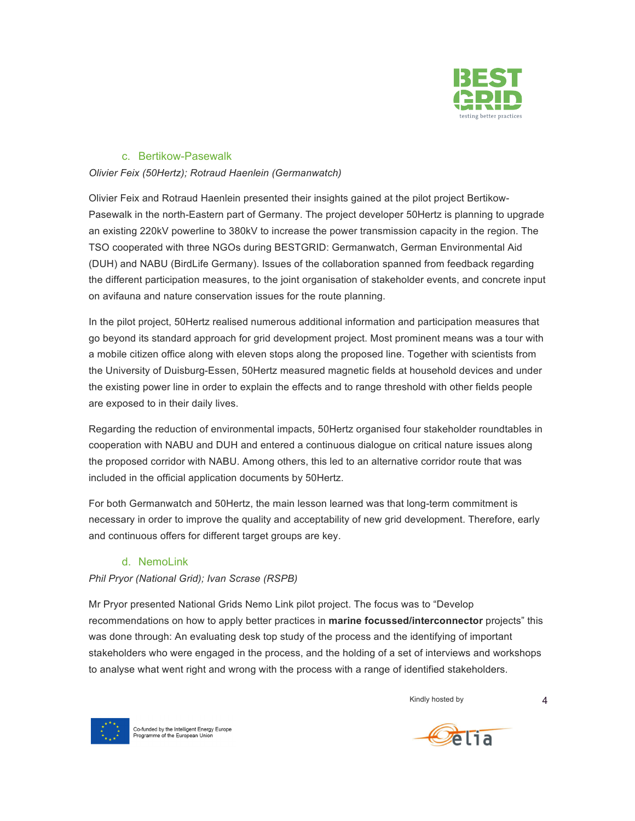

### c. Bertikow-Pasewalk

#### *Olivier Feix (50Hertz); Rotraud Haenlein (Germanwatch)*

Olivier Feix and Rotraud Haenlein presented their insights gained at the pilot project Bertikow-Pasewalk in the north-Eastern part of Germany. The project developer 50Hertz is planning to upgrade an existing 220kV powerline to 380kV to increase the power transmission capacity in the region. The TSO cooperated with three NGOs during BESTGRID: Germanwatch, German Environmental Aid (DUH) and NABU (BirdLife Germany). Issues of the collaboration spanned from feedback regarding the different participation measures, to the joint organisation of stakeholder events, and concrete input on avifauna and nature conservation issues for the route planning.

In the pilot project, 50Hertz realised numerous additional information and participation measures that go beyond its standard approach for grid development project. Most prominent means was a tour with a mobile citizen office along with eleven stops along the proposed line. Together with scientists from the University of Duisburg-Essen, 50Hertz measured magnetic fields at household devices and under the existing power line in order to explain the effects and to range threshold with other fields people are exposed to in their daily lives.

Regarding the reduction of environmental impacts, 50Hertz organised four stakeholder roundtables in cooperation with NABU and DUH and entered a continuous dialogue on critical nature issues along the proposed corridor with NABU. Among others, this led to an alternative corridor route that was included in the official application documents by 50Hertz.

For both Germanwatch and 50Hertz, the main lesson learned was that long-term commitment is necessary in order to improve the quality and acceptability of new grid development. Therefore, early and continuous offers for different target groups are key.

### d. NemoLink

### *Phil Pryor (National Grid); Ivan Scrase (RSPB)*

Mr Pryor presented National Grids Nemo Link pilot project. The focus was to "Develop recommendations on how to apply better practices in **marine focussed/interconnector** projects" this was done through: An evaluating desk top study of the process and the identifying of important stakeholders who were engaged in the process, and the holding of a set of interviews and workshops to analyse what went right and wrong with the process with a range of identified stakeholders.

Kindly hosted by 4



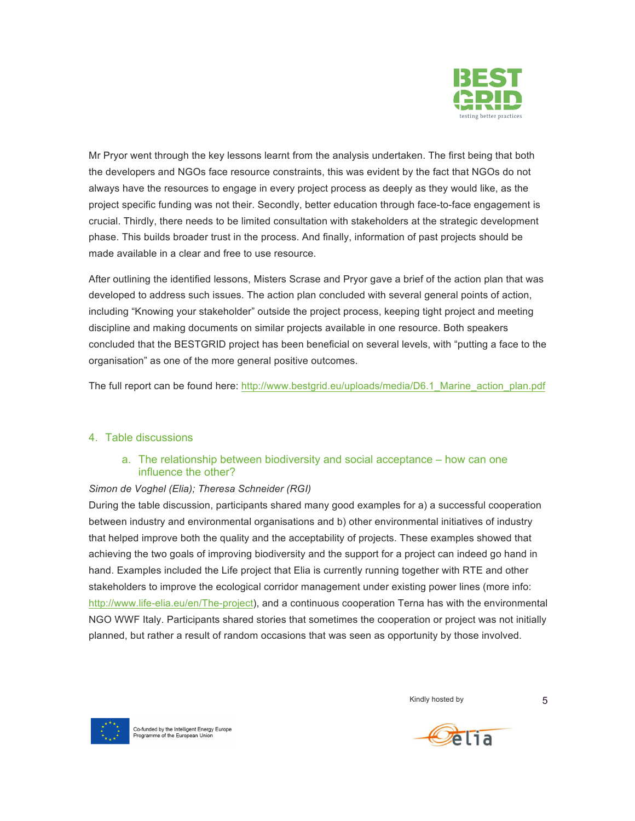

Mr Pryor went through the key lessons learnt from the analysis undertaken. The first being that both the developers and NGOs face resource constraints, this was evident by the fact that NGOs do not always have the resources to engage in every project process as deeply as they would like, as the project specific funding was not their. Secondly, better education through face-to-face engagement is crucial. Thirdly, there needs to be limited consultation with stakeholders at the strategic development phase. This builds broader trust in the process. And finally, information of past projects should be made available in a clear and free to use resource.

After outlining the identified lessons, Misters Scrase and Pryor gave a brief of the action plan that was developed to address such issues. The action plan concluded with several general points of action, including "Knowing your stakeholder" outside the project process, keeping tight project and meeting discipline and making documents on similar projects available in one resource. Both speakers concluded that the BESTGRID project has been beneficial on several levels, with "putting a face to the organisation" as one of the more general positive outcomes.

The full report can be found here: http://www.bestgrid.eu/uploads/media/D6.1 Marine action plan.pdf

### 4. Table discussions

### a. The relationship between biodiversity and social acceptance – how can one influence the other?

### *Simon de Voghel (Elia); Theresa Schneider (RGI)*

During the table discussion, participants shared many good examples for a) a successful cooperation between industry and environmental organisations and b) other environmental initiatives of industry that helped improve both the quality and the acceptability of projects. These examples showed that achieving the two goals of improving biodiversity and the support for a project can indeed go hand in hand. Examples included the Life project that Elia is currently running together with RTE and other stakeholders to improve the ecological corridor management under existing power lines (more info: http://www.life-elia.eu/en/The-project), and a continuous cooperation Terna has with the environmental NGO WWF Italy. Participants shared stories that sometimes the cooperation or project was not initially planned, but rather a result of random occasions that was seen as opportunity by those involved.





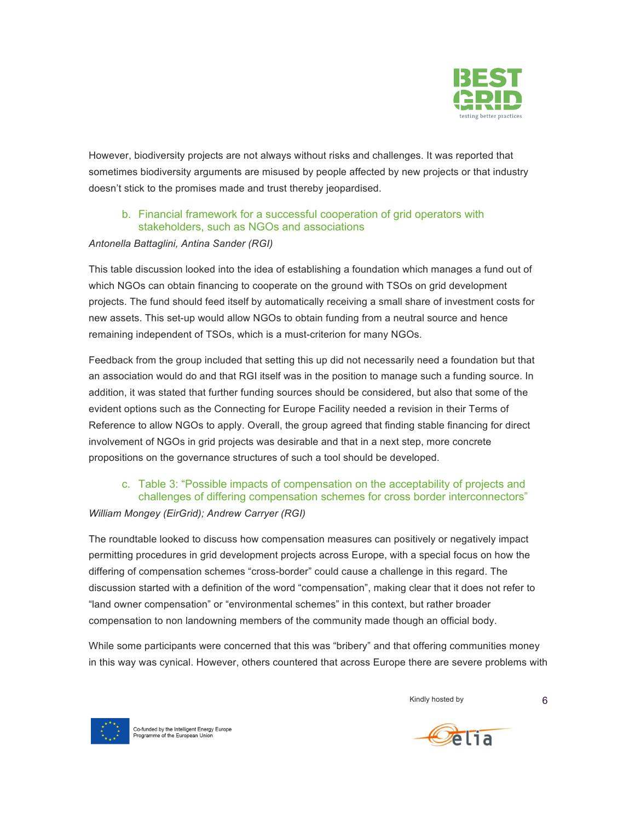

However, biodiversity projects are not always without risks and challenges. It was reported that sometimes biodiversity arguments are misused by people affected by new projects or that industry doesn't stick to the promises made and trust thereby jeopardised.

## b. Financial framework for a successful cooperation of grid operators with stakeholders, such as NGOs and associations

#### *Antonella Battaglini, Antina Sander (RGI)*

This table discussion looked into the idea of establishing a foundation which manages a fund out of which NGOs can obtain financing to cooperate on the ground with TSOs on grid development projects. The fund should feed itself by automatically receiving a small share of investment costs for new assets. This set-up would allow NGOs to obtain funding from a neutral source and hence remaining independent of TSOs, which is a must-criterion for many NGOs.

Feedback from the group included that setting this up did not necessarily need a foundation but that an association would do and that RGI itself was in the position to manage such a funding source. In addition, it was stated that further funding sources should be considered, but also that some of the evident options such as the Connecting for Europe Facility needed a revision in their Terms of Reference to allow NGOs to apply. Overall, the group agreed that finding stable financing for direct involvement of NGOs in grid projects was desirable and that in a next step, more concrete propositions on the governance structures of such a tool should be developed.

# c. Table 3: "Possible impacts of compensation on the acceptability of projects and challenges of differing compensation schemes for cross border interconnectors"

#### *William Mongey (EirGrid); Andrew Carryer (RGI)*

The roundtable looked to discuss how compensation measures can positively or negatively impact permitting procedures in grid development projects across Europe, with a special focus on how the differing of compensation schemes "cross-border" could cause a challenge in this regard. The discussion started with a definition of the word "compensation", making clear that it does not refer to "land owner compensation" or "environmental schemes" in this context, but rather broader compensation to non landowning members of the community made though an official body.

While some participants were concerned that this was "bribery" and that offering communities money in this way was cynical. However, others countered that across Europe there are severe problems with





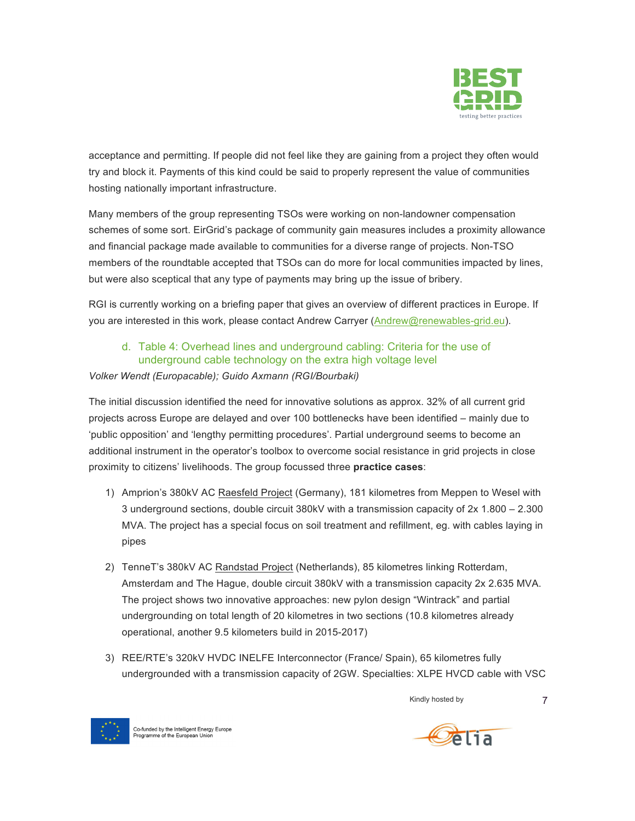

acceptance and permitting. If people did not feel like they are gaining from a project they often would try and block it. Payments of this kind could be said to properly represent the value of communities hosting nationally important infrastructure.

Many members of the group representing TSOs were working on non-landowner compensation schemes of some sort. EirGrid's package of community gain measures includes a proximity allowance and financial package made available to communities for a diverse range of projects. Non-TSO members of the roundtable accepted that TSOs can do more for local communities impacted by lines, but were also sceptical that any type of payments may bring up the issue of bribery.

RGI is currently working on a briefing paper that gives an overview of different practices in Europe. If you are interested in this work, please contact Andrew Carryer (Andrew@renewables-grid.eu).

# d. Table 4: Overhead lines and underground cabling: Criteria for the use of underground cable technology on the extra high voltage level

### *Volker Wendt (Europacable); Guido Axmann (RGI/Bourbaki)*

The initial discussion identified the need for innovative solutions as approx. 32% of all current grid projects across Europe are delayed and over 100 bottlenecks have been identified – mainly due to 'public opposition' and 'lengthy permitting procedures'. Partial underground seems to become an additional instrument in the operator's toolbox to overcome social resistance in grid projects in close proximity to citizens' livelihoods. The group focussed three **practice cases**:

- 1) Amprion's 380kV AC Raesfeld Project (Germany), 181 kilometres from Meppen to Wesel with 3 underground sections, double circuit 380kV with a transmission capacity of 2x 1.800 – 2.300 MVA. The project has a special focus on soil treatment and refillment, eg. with cables laying in pipes
- 2) TenneT's 380kV AC Randstad Project (Netherlands), 85 kilometres linking Rotterdam, Amsterdam and The Hague, double circuit 380kV with a transmission capacity 2x 2.635 MVA. The project shows two innovative approaches: new pylon design "Wintrack" and partial undergrounding on total length of 20 kilometres in two sections (10.8 kilometres already operational, another 9.5 kilometers build in 2015-2017)
- 3) REE/RTE's 320kV HVDC INELFE Interconnector (France/ Spain), 65 kilometres fully undergrounded with a transmission capacity of 2GW. Specialties: XLPE HVCD cable with VSC



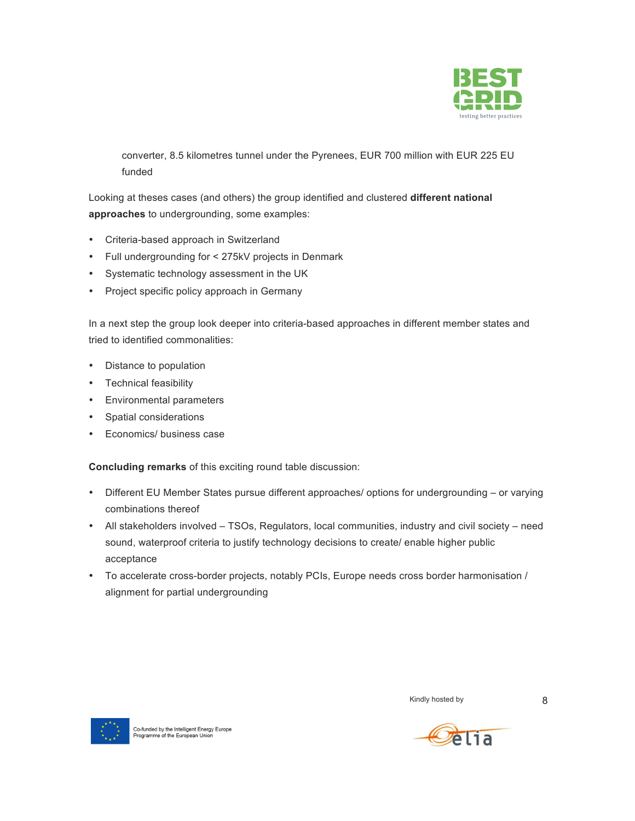

converter, 8.5 kilometres tunnel under the Pyrenees, EUR 700 million with EUR 225 EU funded

Looking at theses cases (and others) the group identified and clustered **different national approaches** to undergrounding, some examples:

- Criteria-based approach in Switzerland
- Full undergrounding for < 275kV projects in Denmark
- Systematic technology assessment in the UK
- Project specific policy approach in Germany

In a next step the group look deeper into criteria-based approaches in different member states and tried to identified commonalities:

- Distance to population
- Technical feasibility
- Environmental parameters
- Spatial considerations
- Economics/ business case

**Concluding remarks** of this exciting round table discussion:

- Different EU Member States pursue different approaches/ options for undergrounding or varying combinations thereof
- All stakeholders involved TSOs, Regulators, local communities, industry and civil society need sound, waterproof criteria to justify technology decisions to create/ enable higher public acceptance
- To accelerate cross-border projects, notably PCIs, Europe needs cross border harmonisation / alignment for partial undergrounding